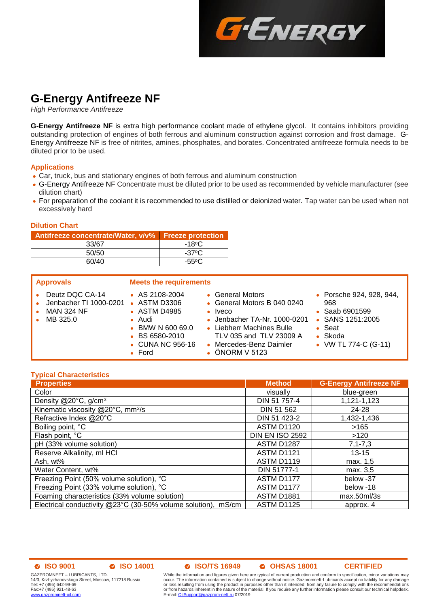

# **G-Energy Antifreeze NF**

*High Performance Antifreeze*

**G-Energy Antifreeze NF** is extra high performance coolant made of ethylene glycol. It contains inhibitors providing outstanding protection of engines of both ferrous and aluminum construction against corrosion and frost damage. G-Energy Antifreeze NF is free of nitrites, amines, phosphates, and borates. Concentrated antifreeze formula needs to be diluted prior to be used.

### **Applications**

- Car, truck, bus and stationary engines of both ferrous and aluminum construction
- G-Energy Antifreeze NF Concentrate must be diluted prior to be used as recommended by vehicle manufacturer (see dilution chart)
- For preparation of the coolant it is recommended to use distilled or deionized water. Tap water can be used when not excessively hard

### **Dilution Chart**

| Antifreeze concentrate/Water, v/v% Freeze protection |                 |
|------------------------------------------------------|-----------------|
| 33/67                                                | $-18^{\circ}$ C |
| 50/50                                                | $-37^{\circ}$ C |
| 60/40                                                | $-55^{\circ}$ C |

| <b>Approvals</b>                                                           | <b>Meets the requirements</b>                                                                                                                        |                                                                                                                                                                                                       |                                                                                                                                    |
|----------------------------------------------------------------------------|------------------------------------------------------------------------------------------------------------------------------------------------------|-------------------------------------------------------------------------------------------------------------------------------------------------------------------------------------------------------|------------------------------------------------------------------------------------------------------------------------------------|
| Deutz DQC CA-14<br>Jenbacher TI 1000-0201<br><b>MAN 324 NF</b><br>MB 325.0 | $\bullet$ AS 2108-2004<br>• ASTM D3306<br>• ASTM D4985<br>$\bullet$ Audi<br>• BMW N 600 69.0<br>• BS 6580-2010<br>• CUNA NC 956-16<br>$\bullet$ Ford | • General Motors<br>• General Motors B 040 0240<br>$\bullet$ Iveco<br>• Jenbacher TA-Nr. 1000-0201<br>• Liebherr Machines Bulle<br>TLV 035 and TLV 23009 A<br>• Mercedes-Benz Daimler<br>ÖNORM V 5123 | • Porsche 924, 928, 944,<br>968<br>• Saab 6901599<br>• SANS 1251:2005<br>$\bullet$ Seat<br>$\bullet$ Skoda<br>• VW TL 774-C (G-11) |

### **Typical Characteristics**

| <b>Properties</b>                                             | <b>Method</b>          | <b>G-Energy Antifreeze NF</b> |
|---------------------------------------------------------------|------------------------|-------------------------------|
| Color                                                         | visually               | blue-green                    |
| Density @20°C, g/cm <sup>3</sup>                              | DIN 51 757-4           | 1,121-1,123                   |
| Kinematic viscosity @20°C, mm <sup>2</sup> /s                 | DIN 51 562             | 24-28                         |
| Refractive Index @20°C                                        | DIN 51 423-2           | 1,432-1,436                   |
| Boiling point, °C                                             | <b>ASTM D1120</b>      | >165                          |
| Flash point, °C                                               | <b>DIN EN ISO 2592</b> | >120                          |
| pH (33% volume solution)                                      | <b>ASTM D1287</b>      | $7, 1 - 7, 3$                 |
| Reserve Alkalinity, ml HCl                                    | <b>ASTM D1121</b>      | $13 - 15$                     |
| Ash, wt%                                                      | ASTM D1119             | max. 1,5                      |
| Water Content, wt%                                            | DIN 51777-1            | max. 3,5                      |
| Freezing Point (50% volume solution), °C                      | ASTM D1177             | below -37                     |
| Freezing Point (33% volume solution), °C                      | ASTM D1177             | below -18                     |
| Foaming characteristics (33% volume solution)                 | <b>ASTM D1881</b>      | max.50ml/3s                   |
| Electrical conductivity @23°C (30-50% volume solution), mS/cm | <b>ASTM D1125</b>      | approx. 4                     |

### **ISO 9001 ISO 14001 ISO/TS 16949 OHSAS 18001 CERTIFIED**

GAZPROMNEFT – LUBRICANTS, LTD. 14/3, Krzhyzhanovskogo Street, Moscow, 117218 Russia Tel: +7 (495) 642-99-69 Fax:+7 (495) 921-48-63 [www.gazpromneft-oil.com](http://www.gazpromneft-oil.com/)

While the information and figures given here are typical of current production and conform to specification, minor variations may occur. The information contained is subject to change without notice. Gazpromneft-Lubricants accept no liability for any damage<br>or loss resulting from using the product in purposes other than it intended, from any failure or from hazards inherent in the nature of the material. If you require any further information please consult our technical helpdesk. E-mail: **OilSupport@gazprom-neft.ru** 07/2019